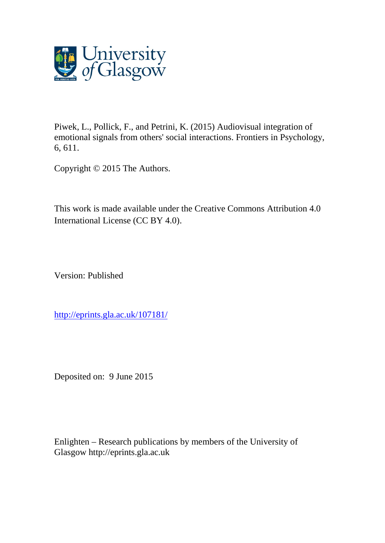

Piwek, L., Pollick, F., and Petrini, K. (2015) Audiovisual integration of emotional signals from others' social interactions. Frontiers in Psychology, 6, 611.

Copyright © 2015 The Authors.

This work is made available under the Creative Commons Attribution 4.0 International License (CC BY 4.0).

Version: Published

[http://eprints.gla.ac.uk/107181/](http://eprints.gla.ac.uk/107178/)

Deposited on: 9 June 2015

Enlighten – Research publications by members of the University of Glasgow [http://eprints.gla.ac.uk](http://eprints.gla.ac.uk/)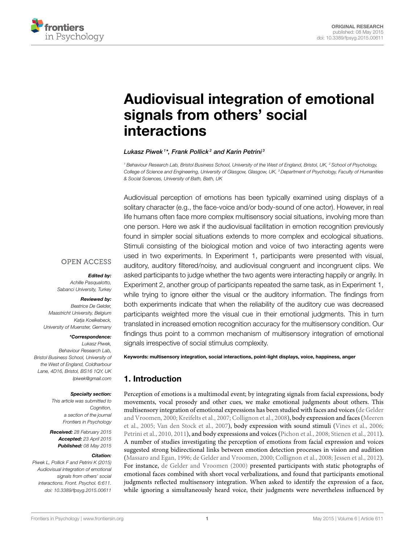

# [Audiovisual integration of emotional](http://journal.frontiersin.org/article/10.3389/fpsyg.2015.00611/abstract) signals from others' social interactions

#### [Lukasz Piwek](http://community.frontiersin.org/people/u/212186) $^{1*}$ , [Frank Pollick](http://community.frontiersin.org/people/u/12569) $^{2}$  and [Karin Petrini](http://community.frontiersin.org/people/u/79969) $^{3}$

<sup>1</sup> Behaviour Research Lab, Bristol Business School, University of the West of England, Bristol, UK, <sup>2</sup> School of Psychology, College of Science and Engineering, University of Glasgow, Glasgow, UK, <sup>3</sup> Department of Psychology, Faculty of Humanities & Social Sciences, University of Bath, Bath, UK

Audiovisual perception of emotions has been typically examined using displays of a solitary character (e.g., the face-voice and/or body-sound of one actor). However, in real life humans often face more complex multisensory social situations, involving more than one person. Here we ask if the audiovisual facilitation in emotion recognition previously found in simpler social situations extends to more complex and ecological situations. Stimuli consisting of the biological motion and voice of two interacting agents were used in two experiments. In Experiment 1, participants were presented with visual, auditory, auditory filtered/noisy, and audiovisual congruent and incongruent clips. We asked participants to judge whether the two agents were interacting happily or angrily. In Experiment 2, another group of participants repeated the same task, as in Experiment 1, while trying to ignore either the visual or the auditory information. The findings from both experiments indicate that when the reliability of the auditory cue was decreased participants weighted more the visual cue in their emotional judgments. This in turn translated in increased emotion recognition accuracy for the multisensory condition. Our findings thus point to a common mechanism of multisensory integration of emotional signals irrespective of social stimulus complexity.

## **OPEN ACCESS**

#### Edited by:

Achille Pasqualotto, Sabanci University, Turkey

#### Reviewed by:

Beatrice De Gelder, Maastricht University, Belgium Katja Koelkebeck, University of Muenster, Germany

#### \*Correspondence:

Lukasz Piwek, Behaviour Research Lab, Bristol Business School, University of the West of England, Coldharbour Lane, 4D16, Bristol, BS16 1QY, UK [lpiwek@gmail.com](mailto:lpiwek@gmail.com)

#### Specialty section:

This article was submitted to Cognition, a section of the journal Frontiers in Psychology

Received: 28 February 2015 Accepted: 23 April 2015 Published: 08 May 2015

#### Citation:

Piwek L, Pollick F and Petrini K (2015) Audiovisual integration of emotional signals from others' social interactions. Front. Psychol. 6:611. doi: [10.3389/fpsyg.2015.00611](http://dx.doi.org/10.3389/fpsyg.2015.00611) Keywords: multisensory integration, social interactions, point-light displays, voice, happiness, anger

## 1. Introduction

Perception of emotions is a multimodal event; by integrating signals from facial expressions, body movements, vocal prosody and other cues, we make emotional judgments about others. This multisensory integration of emotional expressions has been studied with faces and voices (de Gelder and Vroomen, [2000;](#page-9-0) [Kreifelts et al., 2007;](#page-9-1) [Collignon et al., 2008\)](#page-9-2), body expression and faces (Meeren et al., [2005;](#page-9-3) [Van den Stock et al., 2007\)](#page-10-0), body expression with sound stimuli [\(Vines et al., 2006;](#page-10-1) [Petrini et al., 2010,](#page-9-4) [2011\)](#page-9-5), and body expressions and voices [\(Pichon et al., 2008;](#page-10-2) [Stienen et al., 2011\)](#page-10-3). A number of studies investigating the perception of emotions from facial expression and voices suggested strong bidirectional links between emotion detection processes in vision and audition [\(Massaro and Egan, 1996;](#page-9-6) [de Gelder and Vroomen, 2000;](#page-9-0) [Collignon et al., 2008;](#page-9-2) [Jessen et al., 2012\)](#page-9-7). For instance, [de Gelder and Vroomen \(2000\)](#page-9-0) presented participants with static photographs of emotional faces combined with short vocal verbalizations, and found that participants emotional judgments reflected multisensory integration. When asked to identify the expression of a face, while ignoring a simultaneously heard voice, their judgments were nevertheless influenced by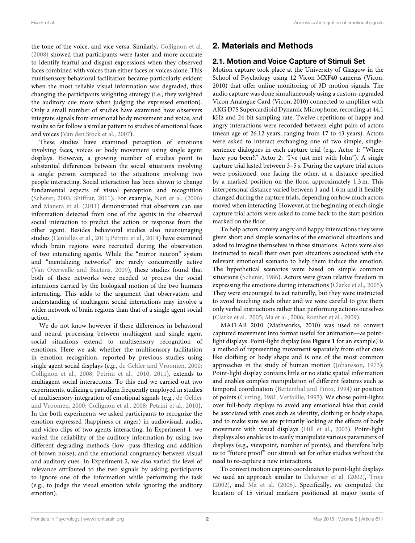the tone of the voice, and vice versa. Similarly, [Collignon et al.](#page-9-2) [\(2008\)](#page-9-2) showed that participants were faster and more accurate to identify fearful and disgust expressions when they observed faces combined with voices than either faces or voices alone. This multisensory behavioral facilitation became particularly evident when the most reliable visual information was degraded, thus changing the participants weighting strategy (i.e., they weighted the auditory cue more when judging the expressed emotion). Only a small number of studies have examined how observers integrate signals from emotional body movement and voice, and results so far follow a similar pattern to studies of emotional faces and voices [\(Van den Stock et al., 2007\)](#page-10-0).

These studies have examined perception of emotions involving faces, voices or body movement using single agent displays. However, a growing number of studies point to substantial differences between the social situations involving a single person compared to the situations involving two people interacting. Social interaction has been shown to change fundamental aspects of visual perception and recognition [\(Scherer, 2003;](#page-10-4) [Shiffrar, 2011\)](#page-10-5). For example, [Neri et al. \(2006\)](#page-9-8) and [Manera et al. \(2011\)](#page-9-9) demonstrated that observers can use information detected from one of the agents in the observed social interaction to predict the action or response from the other agent. Besides behavioral studies also neuroimaging studies [\(Centelles et al., 2011;](#page-9-10) [Petrini et al., 2014\)](#page-10-6) have examined which brain regions were recruited during the observation of two interacting agents. While the "mirror neuron" system and "mentalizing networks" are rarely concurrently active [\(Van Overwalle and Baetens, 2009\)](#page-10-7), these studies found that both of these networks were needed to process the social intentions carried by the biological motion of the two humans interacting. This adds to the argument that observation and understanding of multiagent social interactions may involve a wider network of brain regions than that of a single agent social action.

We do not know however if these differences in behavioral and neural processing between multiagent and single agent social situations extend to multisensory recognition of emotions. Here we ask whether the multisensory facilitation in emotion recognition, reported by previous studies using single agent social displays (e.g., [de Gelder and Vroomen, 2000;](#page-9-0) [Collignon et al., 2008;](#page-9-2) [Petrini et al., 2010,](#page-9-4) [2011\)](#page-9-5), extends to multiagent social interactions. To this end we carried out two experiments, utilizing a paradigm frequently employed in studies of multisensory integration of emotional signals (e.g., de Gelder and Vroomen, [2000;](#page-9-0) [Collignon et al., 2008;](#page-9-2) [Petrini et al., 2010\)](#page-9-4). In the both experiments we asked participants to recognize the emotion expressed (happiness or anger) in audiovisual, audio, and video clips of two agents interacting. In Experiment 1, we varied the reliability of the auditory information by using two different degrading methods (low -pass filtering and addition of brown noise), and the emotional congruency between visual and auditory cues. In Experiment 2, we also varied the level of relevance attributed to the two signals by asking participants to ignore one of the information while performing the task (e.g., to judge the visual emotion while ignoring the auditory emotion).

# 2. Materials and Methods

## 2.1. Motion and Voice Capture of Stimuli Set

Motion capture took place at the University of Glasgow in the School of Psychology using 12 Vicon MXF40 cameras (Vicon, 2010) that offer online monitoring of 3D motion signals. The audio capture was done simultaneously using a custom-upgraded Vicon Analogue Card (Vicon, 2010) connected to amplifier with AKG D7S Supercardioid Dynamic Microphone, recording at 44.1 kHz and 24-bit sampling rate. Twelve repetitions of happy and angry interactions were recorded between eight pairs of actors (mean age of 26.12 years, ranging from 17 to 43 years). Actors were asked to interact exchanging one of two simple, singlesentence dialogues in each capture trial (e.g., Actor 1: "Where have you been?," Actor 2: "I've just met with John"). A single capture trial lasted between 3–5 s. During the capture trial actors were positioned, one facing the other, at a distance specified by a marked position on the floor, approximately 1.3 m. This interpersonal distance varied between 1 and 1.6 m and it flexibly changed during the capture trials, depending on how much actors moved when interacting. However, at the beginning of each single capture trial actors were asked to come back to the start position marked on the floor.

To help actors convey angry and happy interactions they were given short and simple scenarios of the emotional situations and asked to imagine themselves in those situations. Actors were also instructed to recall their own past situations associated with the relevant emotional scenario to help them induce the emotion. The hypothetical scenarios were based on simple common situations [\(Scherer, 1986\)](#page-10-8). Actors were given relative freedom in expressing the emotions during interactions [\(Clarke et al., 2005\)](#page-9-11). They were encouraged to act naturally, but they were instructed to avoid touching each other and we were careful to give them only verbal instructions rather than performing actions ourselves [\(Clarke et al., 2005;](#page-9-11) [Ma et al., 2006;](#page-9-12) [Roether et al., 2009\)](#page-10-9).

MATLAB 2010 (Mathworks, 2010) was used to convert captured movement into format useful for animation—as pointlight displays. Point-light display (see **[Figure 1](#page-4-0)** for an example) is a method of representing movement separately from other cues like clothing or body shape and is one of the most common approaches in the study of human motion [\(Johansson, 1973\)](#page-9-13). Point-light display contains little or no static spatial information and enables complex manipulation of different features such as temporal coordination [\(Bertenthal and Pinto, 1994\)](#page-9-14) or position of points [\(Cutting, 1981;](#page-9-15) [Verfaillie, 1993\)](#page-10-10). We chose point-lights over full-body displays to avoid any emotional bias that could be associated with cues such as identity, clothing or body shape, and to make sure we are primarily looking at the effects of body movement with visual displays [\(Hill et al., 2003\)](#page-9-16). Point-light displays also enable us to easily manipulate various parameters of displays (e.g., viewpoint, number of points), and therefore help us to "future proof" our stimuli set for other studies without the need to re-capture a new interactions.

To convert motion capture coordinates to point-light displays we used an approach similar to [Dekeyser et al. \(2002\)](#page-9-17), [Troje](#page-10-11) [\(2002\)](#page-10-11), and [Ma et al. \(2006\)](#page-9-12). Specifically, we computed the location of 15 virtual markers positioned at major joints of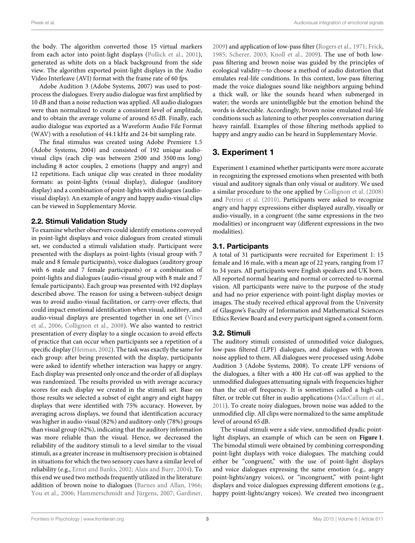the body. The algorithm converted those 15 virtual markers from each actor into point-light displays [\(Pollick et al., 2001\)](#page-10-12), generated as white dots on a black background from the side view. The algorithm exported point-light displays in the Audio Video Interleave (AVI) format with the frame rate of 60 fps.

Adobe Audition 3 (Adobe Systems, 2007) was used to postprocess the dialogues. Every audio dialogue was first amplified by 10 dB and than a noise reduction was applied. All audio dialogues were than normalized to create a consistent level of amplitude, and to obtain the average volume of around 65 dB. Finally, each audio dialogue was exported as a Waveform Audio File Format (WAV) with a resolution of 44.1 kHz and 24-bit sampling rate.

The final stimulus was created using Adobe Premiere 1.5 (Adobe Systems, 2004) and consisted of 192 unique audiovisual clips (each clip was between 2500 and 3500 ms long) including 8 actor couples, 2 emotions (happy and angry) and 12 repetitions. Each unique clip was created in three modality formats: as point-lights (visual display), dialogue (auditory display) and a combination of point-lights with dialogues (audiovisual display). An example of angry and happy audio-visual clips can be viewed in Supplementary Movie.

#### 2.2. Stimuli Validation Study

To examine whether observers could identify emotions conveyed in point-light displays and voice dialogues from created stimuli set, we conducted a stimuli validation study. Participant were presented with the displays as point-lights (visual group with 7 male and 8 female participants), voice dialogues (auditory group with 6 male and 7 female participants) or a combination of point-lights and dialogues (audio-visual group with 8 male and 7 female participants). Each group was presented with 192 displays described above. The reason for using a between-subject design was to avoid audio-visual facilitation, or carry-over effects, that could impact emotional identification when visual, auditory, and audio-visual displays are presented together in one set (Vines et al., [2006;](#page-10-1) [Collignon et al., 2008\)](#page-9-2). We also wanted to restrict presentation of every display to a single occasion to avoid effects of practice that can occur when participants see a repetition of a specific display [\(Heiman, 2002\)](#page-9-18). The task was exactly the same for each group: after being presented with the display, participants were asked to identify whether interaction was happy or angry. Each display was presented only once and the order of all displays was randomized. The results provided us with average accuracy scores for each display we created in the stimuli set. Base on those results we selected a subset of eight angry and eight happy displays that were identified with 75% accuracy. However, by averaging across displays, we found that identification accuracy was higher in audio-visual (82%) and auditory-only (78%) groups than visual group (62%), indicating that the auditory information was more reliable than the visual. Hence, we decreased the reliability of the auditory stimuli to a level similar to the visual stimuli, as a greater increase in multisensory precision is obtained in situations for which the two sensory cues have a similar level of reliability (e.g., [Ernst and Banks, 2002;](#page-9-19) [Alais and Burr, 2004\)](#page-9-20). To this end we used two methods frequently utilized in the literature: addition of brown noise to dialogues [\(Barnes and Allan, 1966;](#page-9-21) [You et al., 2006;](#page-10-13) [Hammerschmidt and Jürgens, 2007;](#page-9-22) [Gardiner,](#page-9-23) [2009\)](#page-9-23) and application of low-pass filter [\(Rogers et al., 1971;](#page-10-14) [Frick,](#page-9-24) [1985;](#page-9-24) [Scherer, 2003;](#page-10-4) [Knoll et al., 2009\)](#page-9-25). The use of both lowpass filtering and brown noise was guided by the principles of ecological validity—to choose a method of audio distortion that emulates real-life conditions. In this context, low-pass filtering made the voice dialogues sound like neighbors arguing behind a thick wall, or like the sounds heard when submerged in water; the words are unintelligible but the emotion behind the words is detectable. Accordingly, brown noise emulated real-life conditions such as listening to other peoples conversation during heavy rainfall. Examples of those filtering methods applied to happy and angry audio can be heard in Supplementary Movie.

# 3. Experiment 1

Experiment 1 examined whether participants were more accurate in recognizing the expressed emotions when presented with both visual and auditory signals than only visual or auditory. We used a similar procedure to the one applied by [Collignon et al. \(2008\)](#page-9-2) and [Petrini et al. \(2010\)](#page-9-4). Participants were asked to recognize angry and happy expressions either displayed aurally, visually or audio-visually, in a congruent (the same expressions in the two modalities) or incongruent way (different expressions in the two modalities).

## 3.1. Participants

A total of 31 participants were recruited for Experiment 1: 15 female and 16 male, with a mean age of 22 years, ranging from 17 to 34 years. All participants were English speakers and UK born. All reported normal hearing and normal or corrected-to-normal vision. All participants were naive to the purpose of the study and had no prior experience with point-light display movies or images. The study received ethical approval from the University of Glasgow's Faculty of Information and Mathematical Sciences Ethics Review Board and every participant signed a consent form.

## <span id="page-3-0"></span>3.2. Stimuli

The auditory stimuli consisted of unmodified voice dialogues, low-pass filtered (LPF) dialogues, and dialogues with brown noise applied to them. All dialogues were processed using Adobe Audition 3 (Adobe Systems, 2008). To create LPF versions of the dialogues, a filter with a 400 Hz cut-off was applied to the unmodified dialogues attenuating signals with frequencies higher than the cut-off frequency. It is sometimes called a high-cut filter, or treble cut filter in audio applications [\(MacCallum et al.,](#page-9-26) [2011\)](#page-9-26). To create noisy dialogues, brown noise was added to the unmodified clip. All clips were normalized to the same amplitude level of around 65 dB.

The visual stimuli were a side view, unmodified dyadic pointlight displays, an example of which can be seen on **[Figure 1](#page-4-0)**. The bimodal stimuli were obtained by combining corresponding point-light displays with voice dialogues. The matching could either be "congruent," with the use of point-light displays and voice dialogues expressing the same emotion (e.g., angry point-lights/angry voices), or "incongruent," with point-light displays and voice dialogues expressing different emotions (e.g., happy point-lights/angry voices). We created two incongruent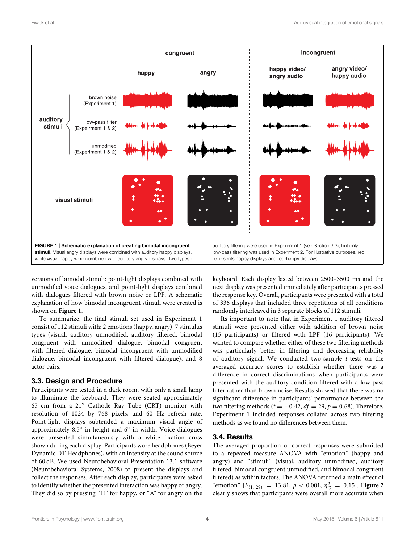

<span id="page-4-0"></span>versions of bimodal stimuli: point-light displays combined with unmodified voice dialogues, and point-light displays combined with dialogues filtered with brown noise or LPF. A schematic explanation of how bimodal incongruent stimuli were created is shown on **[Figure 1](#page-4-0)**.

To summarize, the final stimuli set used in Experiment 1 consist of 112 stimuli with: 2 emotions (happy, angry), 7 stimulus types (visual, auditory unmodified, auditory filtered, bimodal congruent with unmodified dialogue, bimodal congruent with filtered dialogue, bimodal incongruent with unmodified dialogue, bimodal incongruent with filtered dialogue), and 8 actor pairs.

#### <span id="page-4-1"></span>3.3. Design and Procedure

Participants were tested in a dark room, with only a small lamp to illuminate the keyboard. They were seated approximately 65 cm from a 21′′ Cathode Ray Tube (CRT) monitor with resolution of 1024 by 768 pixels, and 60 Hz refresh rate. Point-light displays subtended a maximum visual angle of approximately 8.5◦ in height and 6◦ in width. Voice dialogues were presented simultaneously with a white fixation cross shown during each display. Participants wore headphones (Beyer Dynamic DT Headphones), with an intensity at the sound source of 60 dB. We used Neurobehavioral Presentation 13.1 software (Neurobehavioral Systems, 2008) to present the displays and collect the responses. After each display, participants were asked to identify whether the presented interaction was happy or angry. They did so by pressing "H" for happy, or "A" for angry on the keyboard. Each display lasted between 2500–3500 ms and the next display was presented immediately after participants pressed the response key. Overall, participants were presented with a total of 336 displays that included three repetitions of all conditions randomly interleaved in 3 separate blocks of 112 stimuli.

Its important to note that in Experiment 1 auditory filtered stimuli were presented either with addition of brown noise (15 participants) or filtered with LPF (16 participants). We wanted to compare whether either of these two filtering methods was particularly better in filtering and decreasing reliability of auditory signal. We conducted two-sample  $t$ -tests on the averaged accuracy scores to establish whether there was a difference in correct discriminations when participants were presented with the auditory condition filtered with a low-pass filter rather than brown noise. Results showed that there was no significant difference in participants' performance between the two filtering methods ( $t = -0.42$ ,  $df = 29$ ,  $p = 0.68$ ). Therefore, Experiment 1 included responses collated across two filtering methods as we found no differences between them.

## 3.4. Results

The averaged proportion of correct responses were submitted to a repeated measure ANOVA with "emotion" (happy and angry) and "stimuli" (visual, auditory unmodified, auditory filtered, bimodal congruent unmodified, and bimodal congruent filtered) as within factors. The ANOVA returned a main effect of "emotion"  $[F_{(1, 29)} = 13.81, p < 0.001, \eta_G^2 = 0.15]$ . **[Figure 2](#page-5-0)** clearly shows that participants were overall more accurate when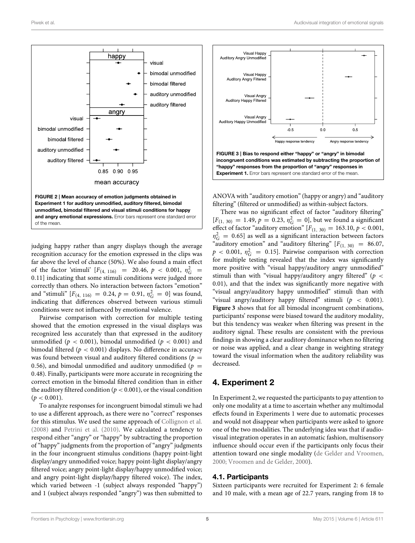

<span id="page-5-0"></span>judging happy rather than angry displays though the average recognition accuracy for the emotion expressed in the clips was far above the level of chance (50%). We also found a main effect of the factor 'stimuli'  $[F_{(4, 116)} = 20.46, p < 0.001, \eta_G^2 =$ 0.11] indicating that some stimuli conditions were judged more correctly than others. No interaction between factors "emotion" and "stimuli"  $[F_{(4, 116)} = 0.24, p = 0.91, \eta_G^2 = 0]$  was found, indicating that differences observed between various stimuli conditions were not influenced by emotional valence.

Pairwise comparison with correction for multiple testing showed that the emotion expressed in the visual displays was recognized less accurately than that expressed in the auditory unmodified ( $p < 0.001$ ), bimodal unmodified ( $p < 0.001$ ) and bimodal filtered ( $p < 0.001$ ) displays. No difference in accuracy was found between visual and auditory filtered conditions ( $p =$ 0.56), and bimodal unmodified and auditory unmodified ( $p =$ 0.48). Finally, participants were more accurate in recognizing the correct emotion in the bimodal filtered condition than in either the auditory filtered condition ( $p < 0.001$ ), or the visual condition  $(p < 0.001)$ .

To analyze responses for incongruent bimodal stimuli we had to use a different approach, as there were no "correct" responses for this stimulus. We used the same approach of [Collignon et al.](#page-9-2) [\(2008\)](#page-9-2) and [Petrini et al. \(2010\)](#page-9-4). We calculated a tendency to respond either "angry" or "happy" by subtracting the proportion of "happy" judgments from the proportion of "angry" judgments in the four incongruent stimulus conditions (happy point-light display/angry unmodified voice; happy point-light display/angry filtered voice; angry point-light display/happy unmodified voice; and angry point-light display/happy filtered voice). The index, which varied between -1 (subject always responded "happy") and 1 (subject always responded "angry") was then submitted to



<span id="page-5-1"></span>ANOVA with "auditory emotion" (happy or angry) and "auditory filtering" (filtered or unmodified) as within-subject factors.

There was no significant effect of factor "auditory filtering"  $[F_{(1, 30)} = 1.49, p = 0.23, \eta_G^2 = 0]$ , but we found a significant effect of factor "auditory emotion"  $[F_{(1, 30)} = 163.10, p < 0.001,$  $\eta_G^2 = 0.65$ ] as well as a significant interaction between factors "auditory emotion" and "auditory filtering"  $[F_{(1, 30)} = 86.07,$  $p < 0.001$ ,  $\eta_G^2 = 0.15$ ]. Pairwise comparison with correction for multiple testing revealed that the index was significantly more positive with "visual happy/auditory angry unmodified" stimuli than with "visual happy/auditory angry filtered" ( $p <$ 0.01), and that the index was significantly more negative with "visual angry/auditory happy unmodified" stimuli than with "visual angry/auditory happy filtered" stimuli ( $p < 0.001$ ). **[Figure 3](#page-5-1)** shows that for all bimodal incongruent combinations, participants' response were biased toward the auditory modality, but this tendency was weaker when filtering was present in the auditory signal. These results are consistent with the previous findings in showing a clear auditory dominance when no filtering or noise was applied, and a clear change in weighting strategy toward the visual information when the auditory reliability was decreased.

## 4. Experiment 2

In Experiment 2, we requested the participants to pay attention to only one modality at a time to ascertain whether any multimodal effects found in Experiments 1 were due to automatic processes and would not disappear when participants were asked to ignore one of the two modalities. The underlying idea was that if audiovisual integration operates in an automatic fashion, multisensory influence should occur even if the participants only focus their attention toward one single modality [\(de Gelder and Vroomen,](#page-9-0) [2000;](#page-9-0) [Vroomen and de Gelder, 2000\)](#page-10-15).

#### 4.1. Participants

Sixteen participants were recruited for Experiment 2: 6 female and 10 male, with a mean age of 22.7 years, ranging from 18 to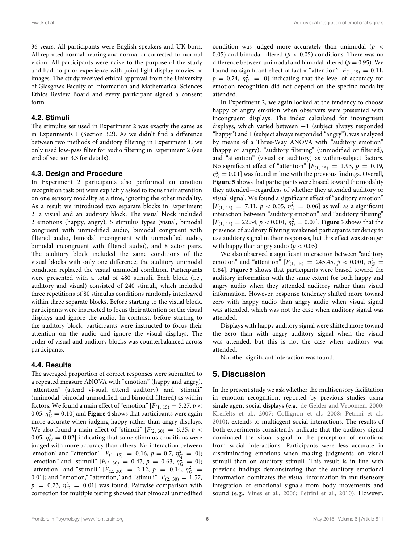36 years. All participants were English speakers and UK born. All reported normal hearing and normal or corrected-to-normal vision. All participants were naive to the purpose of the study and had no prior experience with point-light display movies or images. The study received ethical approval from the University of Glasgow's Faculty of Information and Mathematical Sciences Ethics Review Board and every participant signed a consent form.

#### 4.2. Stimuli

The stimulus set used in Experiment 2 was exactly the same as in Experiments 1 (Section [3.2\)](#page-3-0). As we didn't find a difference between two methods of auditory filtering in Experiment 1, we only used low-pass filter for audio filtering in Experiment 2 (see end of Section [3.3](#page-4-1) for details).

#### 4.3. Design and Procedure

In Experiment 2 participants also performed an emotion recognition task but were explicitly asked to focus their attention on one sensory modality at a time, ignoring the other modality. As a result we introduced two separate blocks in Experiment 2: a visual and an auditory block. The visual block included 2 emotions (happy, angry), 5 stimulus types (visual, bimodal congruent with unmodified audio, bimodal congruent with filtered audio, bimodal incongruent with unmodified audio, bimodal incongruent with filtered audio), and 8 actor pairs. The auditory block included the same conditions of the visual blocks with only one difference; the auditory unimodal condition replaced the visual unimodal condition. Participants were presented with a total of 480 stimuli. Each block (i.e., auditory and visual) consisted of 240 stimuli, which included three repetitions of 80 stimulus conditions randomly interleaved within three separate blocks. Before starting to the visual block, participants were instructed to focus their attention on the visual displays and ignore the audio. In contrast, before starting to the auditory block, participants were instructed to focus their attention on the audio and ignore the visual displays. The order of visual and auditory blocks was counterbalanced across participants.

#### 4.4. Results

The averaged proportion of correct responses were submitted to a repeated measure ANOVA with "emotion" (happy and angry), "attention" (attend vi-sual, attend auditory), and "stimuli" (unimodal, bimodal unmodified, and bimodal filtered) as within factors. We found a main effect of "emotion"  $[F_{(1, 15)} = 5.27, p <$ 0.05,  $\eta_G^2 = 0.10$ ] and **[Figure 4](#page-7-0)** shows that participants were again more accurate when judging happy rather than angry displays. We also found a main effect of "stimuli"  $[F(2, 30) = 6.35, p <$ 0.05,  $\eta_G^2 = 0.02$ ] indicating that some stimulus conditions were judged with more accuracy than others. No interaction between 'emotion' and "attention"  $[F_{(1, 15)} = 0.16, p = 0.7, \eta_{\overline{G}}^2 = 0]$ ; "emotion" and "stimuli"  $[F(2, 30) = 0.47, p = 0.63, \eta_G^2 = 0];$ "attention" and "stimuli"  $[F_{(2, 30)} = 2.12, p = 0.14, \eta_G^2 =$ 0.01]; and "emotion," "attention," and "stimuli"  $[F_{(2, 30)} = 1.57$ ,  $p = 0.23$ ,  $\eta_G^2 = 0.01$ ] was found. Pairwise comparison with correction for multiple testing showed that bimodal unmodified

condition was judged more accurately than unimodal ( $p \leq$ 0.05) and bimodal filtered ( $p < 0.05$ ) conditions. There was no difference between unimodal and bimodal filtered ( $p = 0.95$ ). We found no significant effect of factor "attention"  $[F(1, 15) = 0.11,$  $p = 0.74$ ,  $\eta_G^2 = 0$ ] indicating that the level of accuracy for emotion recognition did not depend on the specific modality attended.

In Experiment 2, we again looked at the tendency to choose happy or angry emotion when observers were presented with incongruent displays. The index calculated for incongruent displays, which varied between −1 (subject always responded "happy") and 1 (subject always responded "angry"), was analyzed by means of a Three-Way ANOVA with "auditory emotion" (happy or angry), "auditory filtering" (unmodified or filtered), and "attention" (visual or auditory) as within-subject factors. No significant effect of "attention"  $[F_{(1, 15)} = 1.93, p = 0.19,$  $\eta_G^2 = 0.01$ ] was found in line with the previous findings. Overall, **[Figure 5](#page-7-1)** shows that participants were biased toward the modality they attended—regardless of whether they attended auditory or visual signal. We found a significant effect of "auditory emotion"  $[F_{(1, 15)} = 7.11, p < 0.05, \eta_G^2 = 0.06]$  as well as a significant interaction between "auditory emotion" and "auditory filtering"  $[F_{(1, 15)} = 22.54, p < 0.001, \eta_G^2 = 0.07]$ . **Figure 5** shows that the presence of auditory filtering weakened participants tendency to use auditory signal in their responses, but this effect was stronger with happy than angry audio ( $p < 0.05$ ).

We also observed a significant interaction between "auditory emotion" and "attention"  $[F_{(1, 15)} = 245.45, p < 0.001, \eta_G^2 =$ 0.84]. **[Figure 5](#page-7-1)** shows that participants were biased toward the auditory information with the same extent for both happy and angry audio when they attended auditory rather than visual information. However, response tendency shifted more toward zero with happy audio than angry audio when visual signal was attended, which was not the case when auditory signal was attended.

Displays with happy auditory signal were shifted more toward the zero than with angry auditory signal when the visual was attended, but this is not the case when auditory was attended.

No other significant interaction was found.

#### 5. Discussion

In the present study we ask whether the multisensory facilitation in emotion recognition, reported by previous studies using single agent social displays (e.g., [de Gelder and Vroomen, 2000;](#page-9-0) [Kreifelts et al., 2007;](#page-9-1) [Collignon et al., 2008;](#page-9-2) [Petrini et al.,](#page-9-4) [2010\)](#page-9-4), extends to multiagent social interactions. The results of both experiments consistently indicate that the auditory signal dominated the visual signal in the perception of emotions from social interactions. Participants were less accurate in discriminating emotions when making judgments on visual stimuli than on auditory stimuli. This result is in line with previous findings demonstrating that the auditory emotional information dominates the visual information in multisensory integration of emotional signals from body movements and sound (e.g., [Vines et al., 2006;](#page-10-1) [Petrini et al., 2010\)](#page-9-4). However,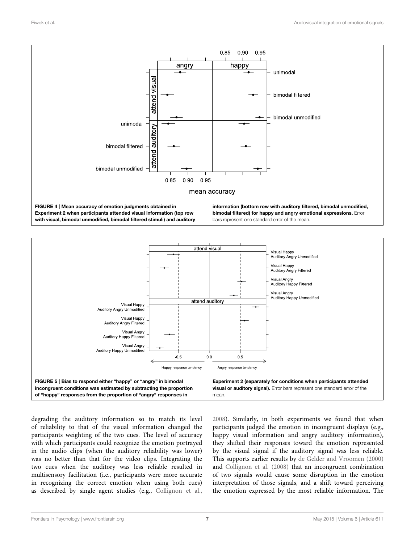

<span id="page-7-0"></span>

<span id="page-7-1"></span>degrading the auditory information so to match its level of reliability to that of the visual information changed the participants weighting of the two cues. The level of accuracy with which participants could recognize the emotion portrayed in the audio clips (when the auditory reliability was lower) was no better than that for the video clips. Integrating the two cues when the auditory was less reliable resulted in multisensory facilitation (i.e., participants were more accurate in recognizing the correct emotion when using both cues) as described by single agent studies (e.g., [Collignon et al.,](#page-9-2)

[2008\)](#page-9-2). Similarly, in both experiments we found that when participants judged the emotion in incongruent displays (e.g., happy visual information and angry auditory information), they shifted their responses toward the emotion represented by the visual signal if the auditory signal was less reliable. This supports earlier results by [de Gelder and Vroomen \(2000\)](#page-9-0) and [Collignon et al. \(2008\)](#page-9-2) that an incongruent combination of two signals would cause some disruption in the emotion interpretation of those signals, and a shift toward perceiving the emotion expressed by the most reliable information. The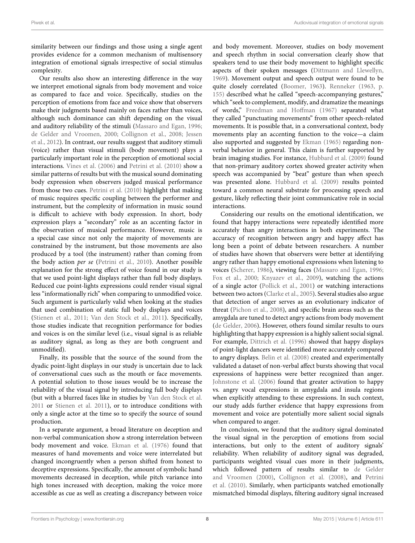similarity between our findings and those using a single agent provides evidence for a common mechanism of multisensory integration of emotional signals irrespective of social stimulus complexity.

Our results also show an interesting difference in the way we interpret emotional signals from body movement and voice as compared to face and voice. Specifically, studies on the perception of emotions from face and voice show that observers make their judgments based mainly on faces rather than voices, although such dominance can shift depending on the visual and auditory reliability of the stimuli [\(Massaro and Egan, 1996;](#page-9-6) [de Gelder and Vroomen, 2000;](#page-9-0) [Collignon et al., 2008;](#page-9-2) Jessen et al., [2012\)](#page-9-7). In contrast, our results suggest that auditory stimuli (voice) rather than visual stimuli (body movement) plays a particularly important role in the perception of emotional social interactions. [Vines et al. \(2006\)](#page-10-1) and [Petrini et al. \(2010\)](#page-9-4) show a similar patterns of results but with the musical sound dominating body expression when observers judged musical performance from those two cues. [Petrini et al. \(2010\)](#page-9-4) highlight that making of music requires specific coupling between the performer and instrument, but the complexity of information in music sound is difficult to achieve with body expression. In short, body expression plays a "secondary" role as an accenting factor in the observation of musical performance. However, music is a special case since not only the majority of movements are constrained by the instrument, but those movements are also produced by a tool (the instrument) rather than coming from the body action per se [\(Petrini et al., 2010\)](#page-9-4). Another possible explanation for the strong effect of voice found in our study is that we used point-light displays rather than full body displays. Reduced cue point-lights expressions could render visual signal less "informationally rich" when comparing to unmodified voice. Such argument is particularly valid when looking at the studies that used combination of static full body displays and voices [\(Stienen et al., 2011;](#page-10-3) [Van den Stock et al., 2011\)](#page-10-16). Specifically, those studies indicate that recognition performance for bodies and voices is on the similar level (i.e., visual signal is as reliable as auditory signal, as long as they are both congruent and unmodified).

Finally, its possible that the source of the sound from the dyadic point-light displays in our study is uncertain due to lack of conversational cues such as the mouth or face movements. A potential solution to those issues would be to increase the reliability of the visual signal by introducing full body displays (but with a blurred faces like in studies by [Van den Stock et al.](#page-10-16) [2011](#page-10-16) or [Stienen et al. 2011\)](#page-10-3), or to introduce conditions with only a single actor at the time so to specify the source of sound production.

In a separate argument, a broad literature on deception and non-verbal communication show a strong interrelation between body movement and voice. [Ekman et al. \(1976\)](#page-9-27) found that measures of hand movements and voice were interrelated but changed incongruently when a person shifted from honest to deceptive expressions. Specifically, the amount of symbolic hand movements decreased in deception, while pitch variance into high tones increased with deception, making the voice more accessible as cue as well as creating a discrepancy between voice and body movement. Moreover, studies on body movement and speech rhythm in social conversation clearly show that speakers tend to use their body movement to highlight specific aspects of their spoken messages [\(Dittmann and Llewellyn,](#page-9-28) [1969\)](#page-9-28). Movement output and speech output were found to be quite closely correlated [\(Boomer, 1963\)](#page-9-29). [Renneker \(1963,](#page-10-17) p. 155) described what he called "speech-accompanying gestures," which "seek to complement, modify, and dramatize the meanings of words," [Freedman and Hoffman \(1967\)](#page-9-30) separated what they called "punctuating movements" from other speech-related movements. It is possible that, in a conversational context, body movements play an accenting function to the voice—a claim also supported and suggested by [Ekman \(1965\)](#page-9-31) regarding nonverbal behavior in general. This claim is further supported by brain imaging studies. For instance, [Hubbard et al. \(2009\)](#page-9-32) found that non-primary auditory cortex showed greater activity when speech was accompanied by "beat" gesture than when speech was presented alone. [Hubbard et al. \(2009\)](#page-9-32) results pointed toward a common neural substrate for processing speech and gesture, likely reflecting their joint communicative role in social interactions.

Considering our results on the emotional identification, we found that happy interactions were repeatedly identified more accurately than angry interactions in both experiments. The accuracy of recognition between angry and happy affect has long been a point of debate between researchers. A number of studies have shown that observers were better at identifying angry rather than happy emotional expressions when listening to voices [\(Scherer, 1986\)](#page-10-8), viewing faces [\(Massaro and Egan, 1996;](#page-9-6) [Fox et al., 2000;](#page-9-33) [Knyazev et al., 2009\)](#page-9-34), watching the actions of a single actor [\(Pollick et al., 2001\)](#page-10-12) or watching interactions between two actors [\(Clarke et al., 2005\)](#page-9-11). Several studies also argue that detection of anger serves as an evolutionary indicator of threat [\(Pichon et al., 2008\)](#page-10-2), and specific brain areas such as the amygdala are tuned to detect angry actions from body movement [\(de Gelder, 2006\)](#page-9-35). However, others found similar results to ours highlighting that happy expression is a highly salient social signal. For example, [Dittrich et al. \(1996\)](#page-9-36) showed that happy displays of point-light dancers were identified more accurately compared to angry displays. [Belin et al. \(2008\)](#page-9-37) created and experimentally validated a dataset of non-verbal affect bursts showing that vocal expressions of happiness were better recognized than anger. [Johnstone et al. \(2006\)](#page-9-38) found that greater activation to happy vs. angry vocal expressions in amygdala and insula regions when explicitly attending to these expressions. In such context, our study adds further evidence that happy expressions from movement and voice are potentially more salient social signals when compared to anger.

In conclusion, we found that the auditory signal dominated the visual signal in the perception of emotions from social interactions, but only to the extent of auditory signals' reliability. When reliability of auditory signal was degraded, participants weighted visual cues more in their judgments, which followed pattern of results similar to de Gelder and Vroomen [\(2000\)](#page-9-0), [Collignon et al. \(2008\)](#page-9-2), and Petrini et al. [\(2010\)](#page-9-4). Similarly, when participants watched emotionally mismatched bimodal displays, filtering auditory signal increased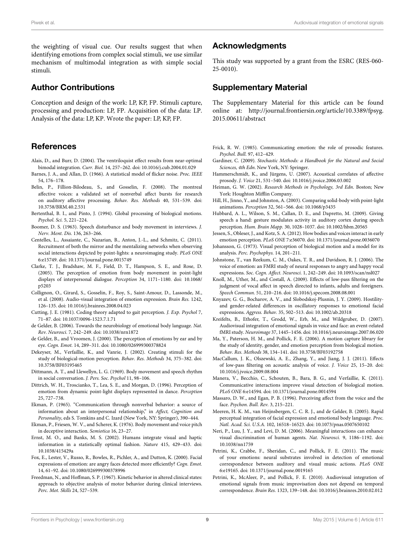the weighting of visual cue. Our results suggest that when identifying emotions from complex social stimuli, we use similar mechanism of multimodal integration as with simple social stimuli.

## Author Contributions

Conception and design of the work: LP, KP, FP. Stimuli capture, processing and production: LP, FP. Acquisition of the data: LP. Analysis of the data: LP, KP. Wrote the paper: LP, KP, FP.

#### References

- <span id="page-9-20"></span>Alais, D., and Burr, D. (2004). The ventriloquist effect results from near-optimal bimodal integration. Curr. Biol. 14, 257–262. doi: 10.1016/j.cub.2004.01.029
- <span id="page-9-21"></span>Barnes, J. A., and Allan, D. (1966). A statistical model of flicker noise. Proc. IEEE 54, 176–178.
- <span id="page-9-37"></span>Belin, P., Fillion-Bilodeau, S., and Gosselin, F. (2008). The montreal affective voices: a validated set of nonverbal affect bursts for research on auditory affective processing. Behav. Res. Methods 40, 531–539. doi: 10.3758/BRM.40.2.531
- <span id="page-9-14"></span>Bertenthal, B. I., and Pinto, J. (1994). Global processing of biological motions. Psychol. Sci. 5, 221–224.
- <span id="page-9-29"></span>Boomer, D. S. (1963). Speech disturbance and body movement in interviews. J. Nerv. Ment. Dis. 136, 263–266.
- <span id="page-9-10"></span>Centelles, L., Assaiante, C., Nazarian, B., Anton, J.-L., and Schmitz, C. (2011). Recruitment of both the mirror and the mentalizing networks when observing social interactions depicted by point-lights: a neuroimaging study. PLoS ONE 6:e15749. doi: 10.1371/journal.pone.0015749
- <span id="page-9-11"></span>Clarke, T. J., Bradshaw, M. F., Field, D. T., Hampson, S. E., and Rose, D. (2005). The perception of emotion from body movement in point-light displays of interpersonal dialogue. Perception 34, 1171–1180. doi: 10.1068/ p5203
- <span id="page-9-2"></span>Collignon, O., Girard, S., Gosselin, F., Roy, S., Saint-Amour, D., Lassonde, M., et al. (2008). Audio-visual integration of emotion expression. Brain Res. 1242, 126–135. doi: 10.1016/j.brainres.2008.04.023
- <span id="page-9-15"></span>Cutting, J. E. (1981). Coding theory adapted to gait perception. J. Exp. Psychol 7, 71–87. doi: 10.1037/0096-1523.7.1.71
- <span id="page-9-35"></span>de Gelder, B. (2006). Towards the neurobiology of emotional body language. Nat. Rev. Neurosci. 7, 242–249. doi: 10.1038/nrn1872
- <span id="page-9-0"></span>de Gelder, B., and Vroomen, J. (2000). The perception of emotions by ear and by eye. Cogn. Emot. 14, 289–311. doi: 10.1080/026999300378824
- <span id="page-9-17"></span>Dekeyser, M., Verfaillie, K., and Vanrie, J. (2002). Creating stimuli for the study of biological-motion perception. Behav. Res. Methods 34, 375–382. doi: 10.3758/BF03195465
- <span id="page-9-28"></span>Dittmann, A. T., and Llewellyn, L. G. (1969). Body movement and speech rhythm in social conversation. J. Pers. Soc. Psychol 11, 98–106.
- <span id="page-9-36"></span>Dittrich, W. H., Troscianko, T., Lea, S. E., and Morgan, D. (1996). Perception of emotion from dynamic point-light displays represented in dance. Perception 25, 727–738.
- <span id="page-9-31"></span>Ekman, P. (1965). "Communication through nonverbal behavior: a source of information about an interpersonal relationship," in Affect, Cognition and Personality, eds S. Tomkins and C. Izard (New York, NY: Springer), 390–444.
- <span id="page-9-27"></span>Ekman, P., Friesen, W. V., and Scherer, K. (1976). Body movement and voice pitch in deceptive interaction. Semiotica 16, 23–27.
- <span id="page-9-19"></span>Ernst, M. O., and Banks, M. S. (2002). Humans integrate visual and haptic information in a statistically optimal fashion. Nature 415, 429–433. doi: 10.1038/415429a
- <span id="page-9-33"></span>Fox, E., Lester, V., Russo, R., Bowles, R., Pichler, A., and Dutton, K. (2000). Facial expressions of emotion: are angry faces detected more efficiently? Cogn. Emot. 14, 61–92. doi: 10.1080/026999300378996
- <span id="page-9-30"></span>Freedman, N., and Hoffman, S. P. (1967). Kinetic behavior in altered clinical states: approach to objective analysis of motor behavior during clinical interviews. Perc. Mot. Skills 24, 527–539.

#### Acknowledgments

This study was supported by a grant from the ESRC (RES-060- 25-0010).

## Supplementary Material

The Supplementary Material for this article can be found online at: [http://journal.frontiersin.org/article/10.3389/fpsyg.](http://journal.frontiersin.org/article/10.3389/fpsyg.2015.00611/abstract) [2015.00611/abstract](http://journal.frontiersin.org/article/10.3389/fpsyg.2015.00611/abstract)

- <span id="page-9-24"></span>Frick, R. W. (1985). Communicating emotion: the role of prosodic features. Psychol. Bull. 97, 412–429.
- <span id="page-9-23"></span>Gardiner, C. (2009). Stochastic Methods: a Handbook for the Natural and Social Sciences, 4th Edn. New York, NY: Springer.
- <span id="page-9-22"></span>Hammerschmidt, K., and Jürgens, U. (2007). Acoustical correlates of affective prosody. J. Voice 21, 531–540. doi: 10.1016/j.jvoice.2006.03.002
- <span id="page-9-18"></span>Heiman, G. W. (2002). Research Methods in Psychology, 3rd Edn. Boston; New York: Houghton Mifflin Company.
- <span id="page-9-16"></span>Hill, H., Jinno, Y., and Johnston, A. (2003). Comparing solid-body with point-light animations. Perception 32, 561–566. doi: 10.1068/p3435
- <span id="page-9-32"></span>Hubbard, A. L., Wilson, S. M., Callan, D. E., and Dapretto, M. (2009). Giving speech a hand: gesture modulates activity in auditory cortex during speech perception. Hum. Brain Mapp. 30, 1028–1037. doi: 10.1002/hbm.20565
- <span id="page-9-7"></span>Jessen, S., Obleser, J., and Kotz, S. A. (2012). How bodies and voices interact in early emotion perception. PLoS ONE 7:e36070. doi: 10.1371/journal.pone.0036070
- <span id="page-9-13"></span>Johansson, G. (1973). Visual perception of biological motion and a model for its analysis. Perc. Psychophys. 14, 201–211.
- <span id="page-9-38"></span>Johnstone, T., van Reekum, C. M., Oakes, T. R., and Davidson, R. J. (2006). The voice of emotion: an FMRI study of neural responses to angry and happy vocal expressions. Soc. Cogn. Affect. Neurosci. 1, 242–249. doi: 10.1093/scan/nsl027
- <span id="page-9-25"></span>Knoll, M., Uther, M., and Costall, A. (2009). Effects of low-pass filtering on the judgment of vocal affect in speech directed to infants, adults and foreigners. Speech Commun. 51, 210–216. doi: 10.1016/j.specom.2008.08.001
- <span id="page-9-34"></span>Knyazev, G. G., Bocharov, A. V., and Slobodskoj-Plusnin, J. Y. (2009). Hostilityand gender-related differences in oscillatory responses to emotional facial expressions. Aggress. Behav. 35, 502–513. doi: 10.1002/ab.20318
- <span id="page-9-1"></span>Kreifelts, B., Ethofer, T., Grodd, W., Erb, M., and Wildgruber, D. (2007). Audiovisual integration of emotional signals in voice and face: an event-related fMRI study. Neuroimage 37, 1445–1456. doi: 10.1016/j.neuroimage.2007.06.020
- <span id="page-9-12"></span>Ma, Y., Paterson, H. M., and Pollick, F. E. (2006). A motion capture library for the study of identity, gender, and emotion perception from biological motion. Behav. Res. Methods 38, 134–141. doi: 10.3758/BF03192758
- <span id="page-9-26"></span>MacCallum, J. K., Olszewski, A. E., Zhang, Y., and Jiang, J. J. (2011). Effects of low-pass filtering on acoustic analysis of voice. J. Voice 25, 15–20. doi: 10.1016/j.jvoice.2009.08.004
- <span id="page-9-9"></span>Manera, V., Becchio, C., Schouten, B., Bara, B. G., and Verfaillie, K. (2011). Communicative interactions improve visual detection of biological motion. PLoS ONE 6:e14594. doi: 10.1371/journal.pone.0014594
- <span id="page-9-6"></span>Massaro, D. W., and Egan, P. B. (1996). Perceiving affect from the voice and the face. Psychon. Bull. Rev. 3, 215–221.
- <span id="page-9-3"></span>Meeren, H. K. M., van Heijnsbergen, C. C. R. J., and de Gelder, B. (2005). Rapid perceptual integration of facial expression and emotional body language. Proc. Natl. Acad. Sci. U.S.A. 102, 16518–16523. doi: 10.1073/pnas.0507650102
- <span id="page-9-8"></span>Neri, P., Luu, J. Y., and Levi, D. M. (2006). Meaningful interactions can enhance visual discrimination of human agents. Nat. Neurosci. 9, 1186–1192. doi: 10.1038/nn1759
- <span id="page-9-5"></span>Petrini, K., Crabbe, F., Sheridan, C., and Pollick, F. E. (2011). The music of your emotions: neural substrates involved in detection of emotional correspondence between auditory and visual music actions. PLoS ONE 6:e19165. doi: 10.1371/journal.pone.0019165
- <span id="page-9-4"></span>Petrini, K., McAleer, P., and Pollick, F. E. (2010). Audiovisual integration of emotional signals from music improvisation does not depend on temporal correspondence. Brain Res. 1323, 139–148. doi: 10.1016/j.brainres.2010.02.012